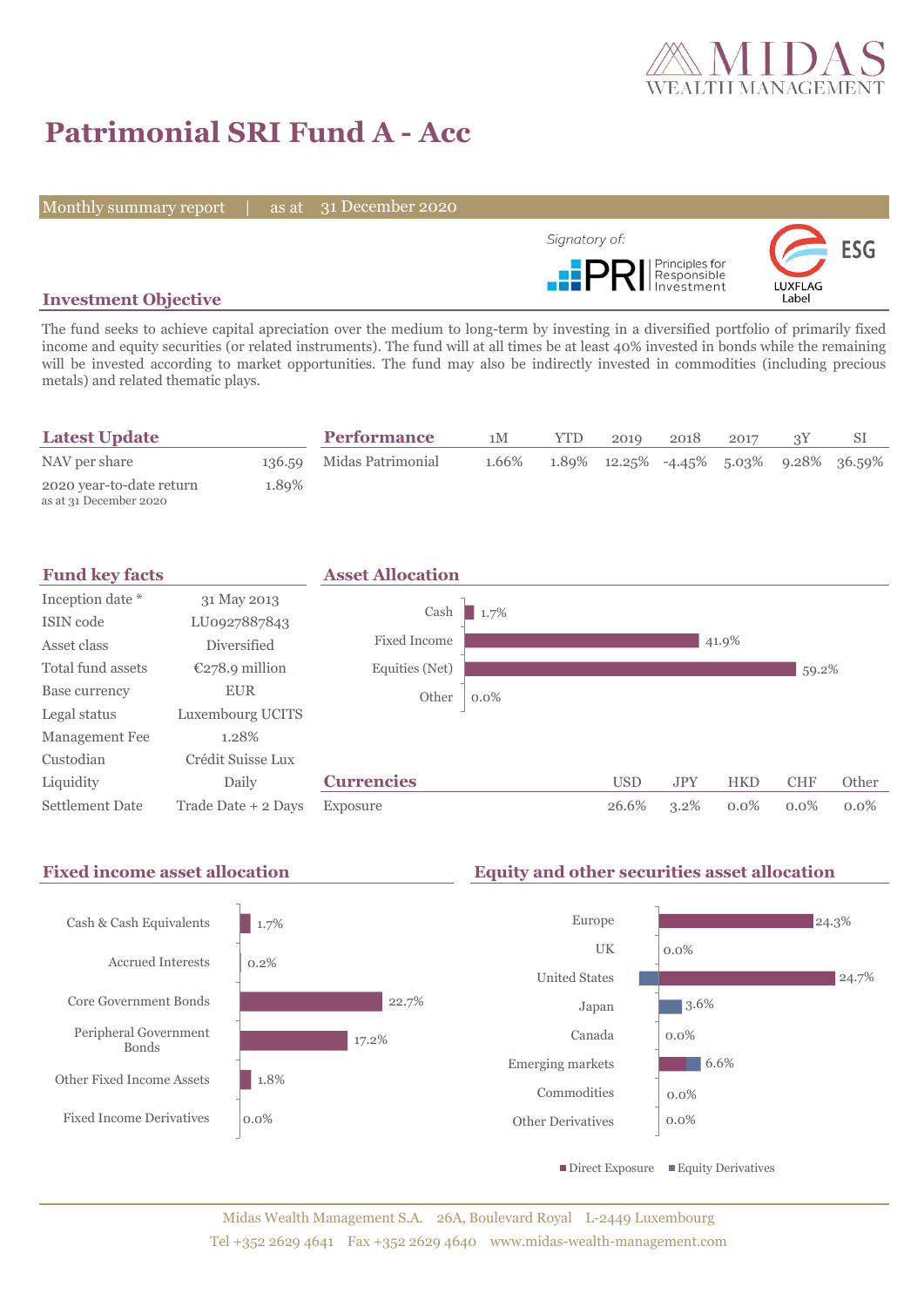

# **Patrimonial SRI Fund A - Acc**

Monthly summary report | as at 31 December 2020



#### **Investment Objective**

The fund seeks to achieve capital apreciation over the medium to long-term by investing in a diversified portfolio of primarily fixed income and equity securities (or related instruments). The fund will at all times be at least 40% invested in bonds while the remaining will be invested according to market opportunities. The fund may also be indirectly invested in commodities (including precious metals) and related thematic plays.

| <b>Latest Update</b>                               |       | <b>Performance</b>       | 1M    | <b>YTD</b> | 2019 | 2018 | 2017 |                                                          |
|----------------------------------------------------|-------|--------------------------|-------|------------|------|------|------|----------------------------------------------------------|
| NAV per share                                      |       | 136.59 Midas Patrimonial | 1.66% |            |      |      |      | $1.89\%$ $12.25\%$ $-4.45\%$ $5.03\%$ $9.28\%$ $36.59\%$ |
| 2020 year-to-date return<br>as at 31 December 2020 | 1.89% |                          |       |            |      |      |      |                                                          |



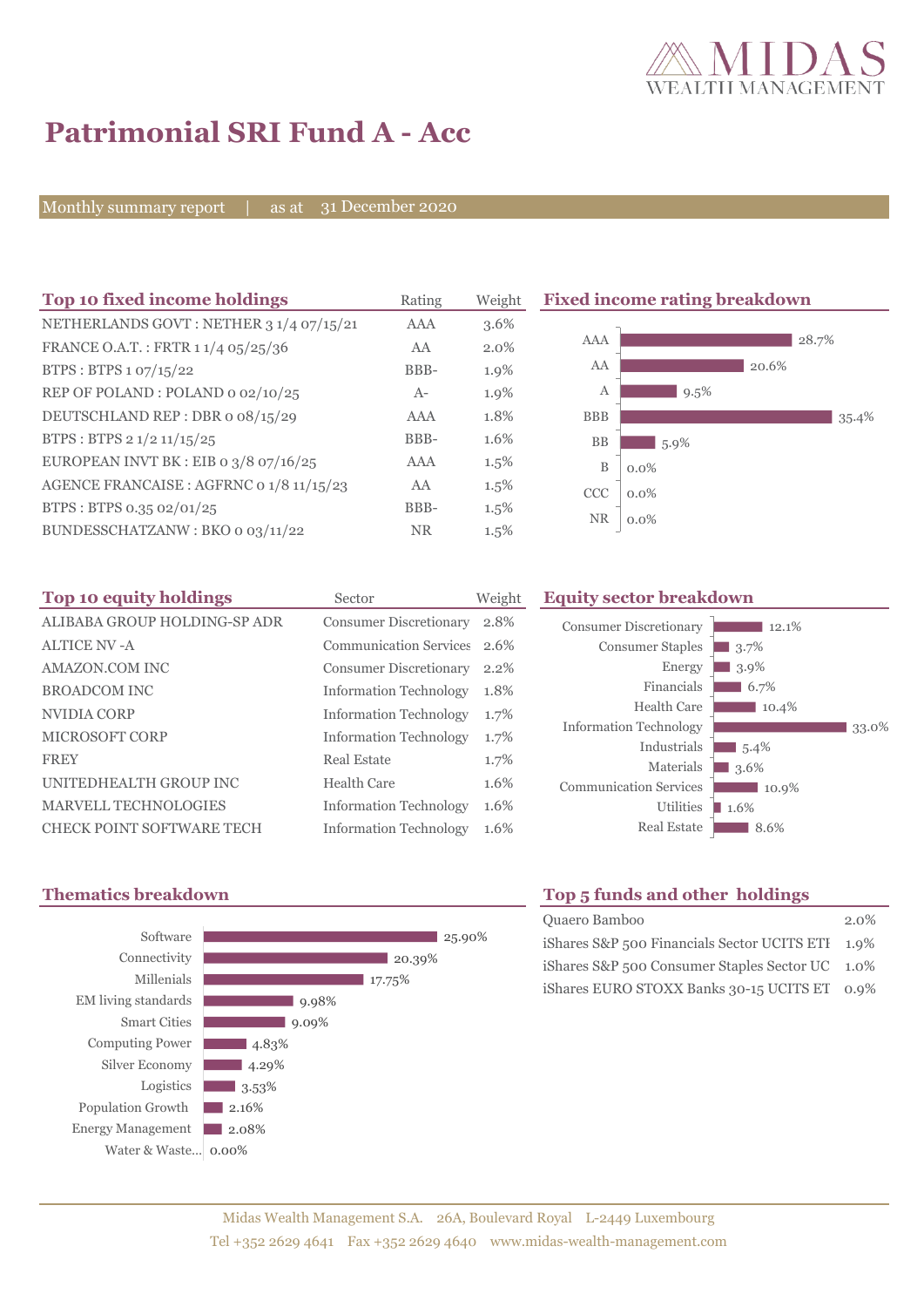

28.7%

35.4%

## **Patrimonial SRI Fund A - Acc**

Monthly summary report | as at 31 December 2020

| Top 10 fixed income holdings             | Rating     | Weight  | <b>Fixed income rating breakdown</b> |  |  |  |
|------------------------------------------|------------|---------|--------------------------------------|--|--|--|
| NETHERLANDS GOVT: NETHER 3 1/4 07/15/21  | AAA        | 3.6%    |                                      |  |  |  |
| FRANCE O.A.T.: FRTR 1 1/4 05/25/36       | AA         | 2.0%    | <b>AAA</b><br>$2\{$                  |  |  |  |
| BTPS: BTPS 1 07/15/22                    | BBB-       | 1.9%    | AA<br>20.6%                          |  |  |  |
| REP OF POLAND: POLAND 0 02/10/25         | $A-$       | 1.9%    | $9.5\%$<br>A                         |  |  |  |
| DEUTSCHLAND REP: DBR o 08/15/29          | <b>AAA</b> | 1.8%    | <b>BBB</b>                           |  |  |  |
| BTPS: BTPS 2 1/2 11/15/25                | BBB-       | 1.6%    | <b>BB</b><br>$5.9\%$                 |  |  |  |
| EUROPEAN INVT BK : EIB o $3/8$ o7/16/25  | AAA        | $1.5\%$ | B<br>$0.0\%$                         |  |  |  |
| AGENCE FRANCAISE : AGFRNC 0 1/8 11/15/23 | AA         | 1.5%    | <b>CCC</b><br>$0.0\%$                |  |  |  |
| BTPS: BTPS 0.35 02/01/25                 | BBB-       | 1.5%    |                                      |  |  |  |
| BUNDESSCHATZANW: BKO 0 03/11/22          | NR.        | 1.5%    | <b>NR</b><br>$0.0\%$                 |  |  |  |

| Top 10 equity holdings       | Sector                        | Weight |
|------------------------------|-------------------------------|--------|
| ALIBABA GROUP HOLDING-SP ADR | <b>Consumer Discretionary</b> | 2.8%   |
| <b>ALTICE NV-A</b>           | <b>Communication Services</b> | 2.6%   |
| AMAZON.COM INC               | <b>Consumer Discretionary</b> | 2.2%   |
| <b>BROADCOM INC</b>          | <b>Information Technology</b> | 1.8%   |
| NVIDIA CORP                  | <b>Information Technology</b> | 1.7%   |
| MICROSOFT CORP               | <b>Information Technology</b> | 1.7%   |
| <b>FREY</b>                  | Real Estate                   | 1.7%   |
| UNITEDHEALTH GROUP INC       | Health Care                   | 1.6%   |
| MARVELL TECHNOLOGIES         | <b>Information Technology</b> | 1.6%   |
| CHECK POINT SOFTWARE TECH    | <b>Information Technology</b> | 1.6%   |

## **The 10 Equity sector breakdown**





### **Thematics breakdown Top 5 funds and other holdings**

| Quaero Bamboo                                    | $2.0\%$ |
|--------------------------------------------------|---------|
| iShares S&P 500 Financials Sector UCITS ETI 1.9% |         |
| iShares S&P 500 Consumer Staples Sector UC 1.0%  |         |
| iShares EURO STOXX Banks 30-15 UCITS ET 0.9%     |         |